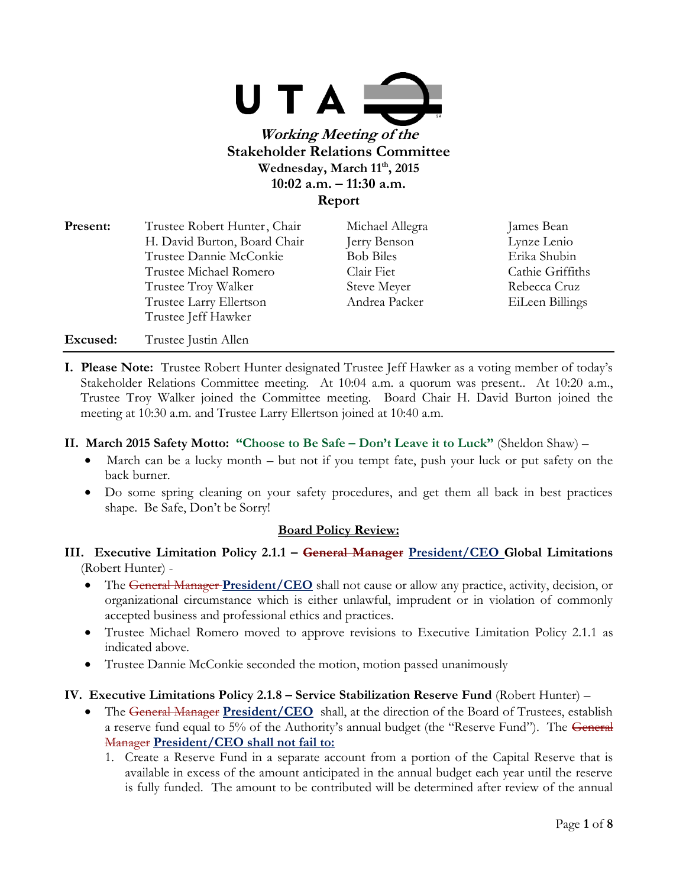

| <b>Present:</b> | Trustee Robert Hunter, Chair | Michael Allegra  | James Bean       |
|-----------------|------------------------------|------------------|------------------|
|                 | H. David Burton, Board Chair | Jerry Benson     | Lynze Lenio      |
|                 | Trustee Dannie McConkie      | <b>Bob Biles</b> | Erika Shubin     |
|                 | Trustee Michael Romero       | Clair Fiet       | Cathie Griffiths |
|                 | Trustee Troy Walker          | Steve Meyer      | Rebecca Cruz     |
|                 | Trustee Larry Ellertson      | Andrea Packer    | EiLeen Billings  |
|                 | Trustee Jeff Hawker          |                  |                  |
| Excused:        | Trustee Justin Allen         |                  |                  |

**I. Please Note:** Trustee Robert Hunter designated Trustee Jeff Hawker as a voting member of today's Stakeholder Relations Committee meeting. At 10:04 a.m. a quorum was present.. At 10:20 a.m., Trustee Troy Walker joined the Committee meeting. Board Chair H. David Burton joined the meeting at 10:30 a.m. and Trustee Larry Ellertson joined at 10:40 a.m.

#### **II. March 2015 Safety Motto: "Choose to Be Safe – Don't Leave it to Luck"** (Sheldon Shaw) –

- March can be a lucky month but not if you tempt fate, push your luck or put safety on the back burner.
- Do some spring cleaning on your safety procedures, and get them all back in best practices shape. Be Safe, Don't be Sorry!

# **Board Policy Review:**

- **III. Executive Limitation Policy 2.1.1 – General Manager President/CEO Global Limitations**  (Robert Hunter) -
	- The General Manager **President/CEO** shall not cause or allow any practice, activity, decision, or organizational circumstance which is either unlawful, imprudent or in violation of commonly accepted business and professional ethics and practices.
	- Trustee Michael Romero moved to approve revisions to Executive Limitation Policy 2.1.1 as indicated above.
	- Trustee Dannie McConkie seconded the motion, motion passed unanimously

#### **IV. Executive Limitations Policy 2.1.8 – Service Stabilization Reserve Fund** (Robert Hunter) –

- The General Manager **President/CEO** shall, at the direction of the Board of Trustees, establish a reserve fund equal to 5% of the Authority's annual budget (the "Reserve Fund"). The General Manager **President/CEO shall not fail to:**
	- 1. Create a Reserve Fund in a separate account from a portion of the Capital Reserve that is available in excess of the amount anticipated in the annual budget each year until the reserve is fully funded. The amount to be contributed will be determined after review of the annual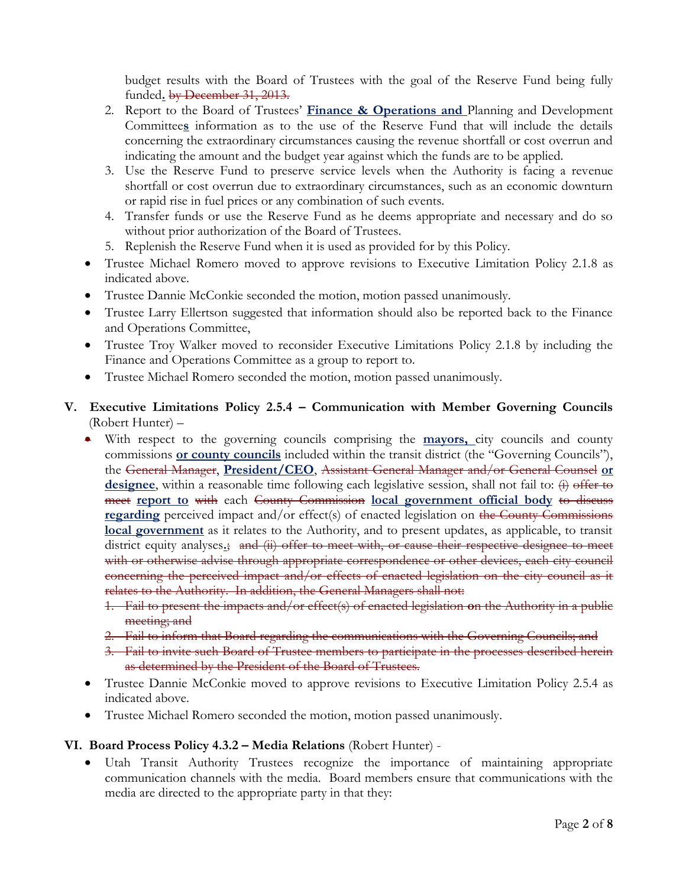budget results with the Board of Trustees with the goal of the Reserve Fund being fully funded**.** by December 31, 2013.

- 2. Report to the Board of Trustees' **Finance & Operations and** Planning and Development Committee**s** information as to the use of the Reserve Fund that will include the details concerning the extraordinary circumstances causing the revenue shortfall or cost overrun and indicating the amount and the budget year against which the funds are to be applied.
- 3. Use the Reserve Fund to preserve service levels when the Authority is facing a revenue shortfall or cost overrun due to extraordinary circumstances, such as an economic downturn or rapid rise in fuel prices or any combination of such events.
- 4. Transfer funds or use the Reserve Fund as he deems appropriate and necessary and do so without prior authorization of the Board of Trustees.
- 5. Replenish the Reserve Fund when it is used as provided for by this Policy.
- Trustee Michael Romero moved to approve revisions to Executive Limitation Policy 2.1.8 as indicated above.
- Trustee Dannie McConkie seconded the motion, motion passed unanimously.
- Trustee Larry Ellertson suggested that information should also be reported back to the Finance and Operations Committee,
- Trustee Troy Walker moved to reconsider Executive Limitations Policy 2.1.8 by including the Finance and Operations Committee as a group to report to.
- Trustee Michael Romero seconded the motion, motion passed unanimously.

# **V. Executive Limitations Policy 2.5.4 – Communication with Member Governing Councils** (Robert Hunter) –

- With respect to the governing councils comprising the **mayors,** city councils and county commissions **or county councils** included within the transit district (the "Governing Councils"), the General Manager, **President/CEO**, Assistant General Manager and/or General Counsel **or** designee, within a reasonable time following each legislative session, shall not fail to:  $\overleftrightarrow{v}$  offer to meet **report to** with each County Commission **local government official body** to discuss **regarding** perceived impact and/or effect(s) of enacted legislation on the County Commissions **local government** as it relates to the Authority, and to present updates, as applicable, to transit district equity analyses**.**; and (ii) offer to meet with, or cause their respective designee to meet with or otherwise advise through appropriate correspondence or other devices, each city council concerning the perceived impact and/or effects of enacted legislation on the city council as it relates to the Authority. In addition, the General Managers shall not:
	- 1. Fail to present the impacts and/or effect(s) of enacted legislation **o**n the Authority in a public meeting; and
	- 2. Fail to inform that Board regarding the communications with the Governing Councils; and
	- 3. Fail to invite such Board of Trustee members to participate in the processes described herein as determined by the President of the Board of Trustees.
- Trustee Dannie McConkie moved to approve revisions to Executive Limitation Policy 2.5.4 as indicated above.
- Trustee Michael Romero seconded the motion, motion passed unanimously.

#### **VI. Board Process Policy 4.3.2 – Media Relations** (Robert Hunter) -

 Utah Transit Authority Trustees recognize the importance of maintaining appropriate communication channels with the media. Board members ensure that communications with the media are directed to the appropriate party in that they: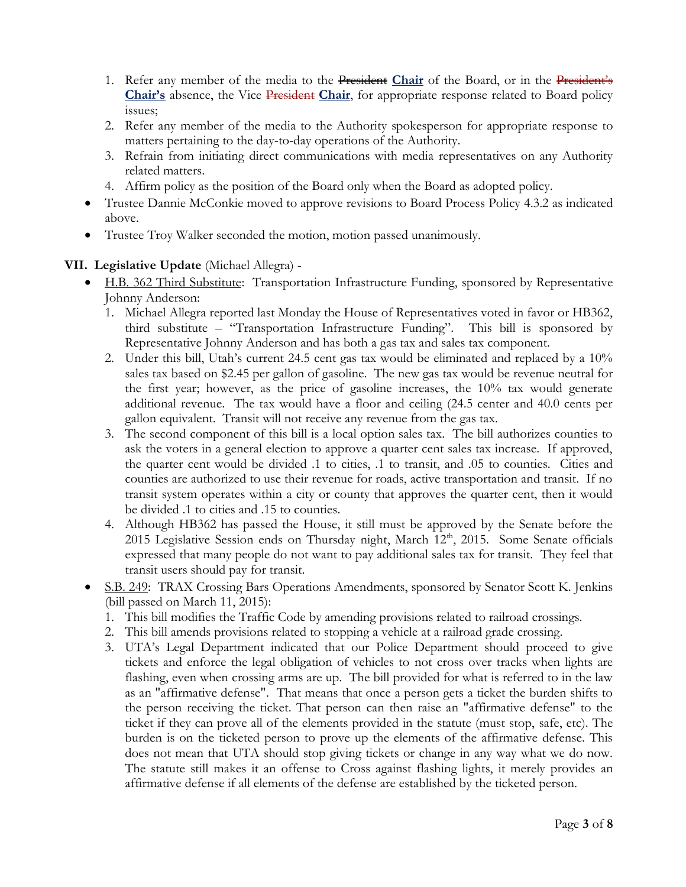- 1. Refer any member of the media to the President **Chair** of the Board, or in the President's **Chair's** absence, the Vice President **Chair**, for appropriate response related to Board policy issues;
- 2. Refer any member of the media to the Authority spokesperson for appropriate response to matters pertaining to the day-to-day operations of the Authority.
- 3. Refrain from initiating direct communications with media representatives on any Authority related matters.
- 4. Affirm policy as the position of the Board only when the Board as adopted policy.
- Trustee Dannie McConkie moved to approve revisions to Board Process Policy 4.3.2 as indicated above.
- Trustee Troy Walker seconded the motion, motion passed unanimously.

# **VII. Legislative Update** (Michael Allegra) -

- H.B. 362 Third Substitute: Transportation Infrastructure Funding, sponsored by Representative Johnny Anderson:
	- 1. Michael Allegra reported last Monday the House of Representatives voted in favor or HB362, third substitute – "Transportation Infrastructure Funding". This bill is sponsored by Representative Johnny Anderson and has both a gas tax and sales tax component.
	- 2. Under this bill, Utah's current 24.5 cent gas tax would be eliminated and replaced by a 10% sales tax based on \$2.45 per gallon of gasoline. The new gas tax would be revenue neutral for the first year; however, as the price of gasoline increases, the 10% tax would generate additional revenue. The tax would have a floor and ceiling (24.5 center and 40.0 cents per gallon equivalent. Transit will not receive any revenue from the gas tax.
	- 3. The second component of this bill is a local option sales tax. The bill authorizes counties to ask the voters in a general election to approve a quarter cent sales tax increase. If approved, the quarter cent would be divided .1 to cities, .1 to transit, and .05 to counties. Cities and counties are authorized to use their revenue for roads, active transportation and transit. If no transit system operates within a city or county that approves the quarter cent, then it would be divided .1 to cities and .15 to counties.
	- 4. Although HB362 has passed the House, it still must be approved by the Senate before the 2015 Legislative Session ends on Thursday night, March  $12<sup>th</sup>$ , 2015. Some Senate officials expressed that many people do not want to pay additional sales tax for transit. They feel that transit users should pay for transit.
- S.B. 249: TRAX Crossing Bars Operations Amendments, sponsored by Senator Scott K. Jenkins (bill passed on March 11, 2015):
	- 1. This bill modifies the Traffic Code by amending provisions related to railroad crossings.
	- 2. This bill amends provisions related to stopping a vehicle at a railroad grade crossing.
	- 3. UTA's Legal Department indicated that our Police Department should proceed to give tickets and enforce the legal obligation of vehicles to not cross over tracks when lights are flashing, even when crossing arms are up. The bill provided for what is referred to in the law as an "affirmative defense". That means that once a person gets a ticket the burden shifts to the person receiving the ticket. That person can then raise an "affirmative defense" to the ticket if they can prove all of the elements provided in the statute (must stop, safe, etc). The burden is on the ticketed person to prove up the elements of the affirmative defense. This does not mean that UTA should stop giving tickets or change in any way what we do now. The statute still makes it an offense to Cross against flashing lights, it merely provides an affirmative defense if all elements of the defense are established by the ticketed person.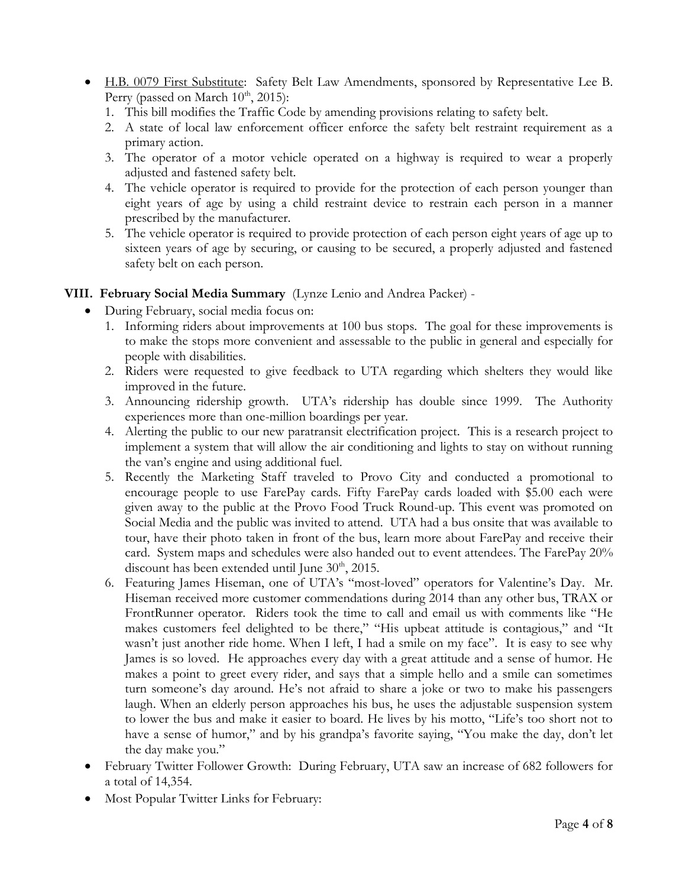- H.B. 0079 First Substitute: Safety Belt Law Amendments, sponsored by Representative Lee B. Perry (passed on March  $10^{th}$ ,  $2015$ ):
	- 1. This bill modifies the Traffic Code by amending provisions relating to safety belt.
	- 2. A state of local law enforcement officer enforce the safety belt restraint requirement as a primary action.
	- 3. The operator of a motor vehicle operated on a highway is required to wear a properly adjusted and fastened safety belt.
	- 4. The vehicle operator is required to provide for the protection of each person younger than eight years of age by using a child restraint device to restrain each person in a manner prescribed by the manufacturer.
	- 5. The vehicle operator is required to provide protection of each person eight years of age up to sixteen years of age by securing, or causing to be secured, a properly adjusted and fastened safety belt on each person.

# **VIII. February Social Media Summary** (Lynze Lenio and Andrea Packer) -

- During February, social media focus on:
	- 1. Informing riders about improvements at 100 bus stops. The goal for these improvements is to make the stops more convenient and assessable to the public in general and especially for people with disabilities.
	- 2. Riders were requested to give feedback to UTA regarding which shelters they would like improved in the future.
	- 3. Announcing ridership growth. UTA's ridership has double since 1999. The Authority experiences more than one-million boardings per year.
	- 4. Alerting the public to our new paratransit electrification project. This is a research project to implement a system that will allow the air conditioning and lights to stay on without running the van's engine and using additional fuel.
	- 5. Recently the Marketing Staff traveled to Provo City and conducted a promotional to encourage people to use FarePay cards. Fifty FarePay cards loaded with \$5.00 each were given away to the public at the Provo Food Truck Round-up. This event was promoted on Social Media and the public was invited to attend. UTA had a bus onsite that was available to tour, have their photo taken in front of the bus, learn more about FarePay and receive their card. System maps and schedules were also handed out to event attendees. The FarePay 20% discount has been extended until June  $30<sup>th</sup>$ , 2015.
	- 6. Featuring James Hiseman, one of UTA's "most-loved" operators for Valentine's Day. Mr. Hiseman received more customer commendations during 2014 than any other bus, TRAX or FrontRunner operator. Riders took the time to call and email us with comments like "He makes customers feel delighted to be there," "His upbeat attitude is contagious," and "It wasn't just another ride home. When I left, I had a smile on my face". It is easy to see why James is so loved. He approaches every day with a great attitude and a sense of humor. He makes a point to greet every rider, and says that a simple hello and a smile can sometimes turn someone's day around. He's not afraid to share a joke or two to make his passengers laugh. When an elderly person approaches his bus, he uses the adjustable suspension system to lower the bus and make it easier to board. He lives by his motto, "Life's too short not to have a sense of humor," and by his grandpa's favorite saying, "You make the day, don't let the day make you."
- February Twitter Follower Growth: During February, UTA saw an increase of 682 followers for a total of 14,354.
- Most Popular Twitter Links for February: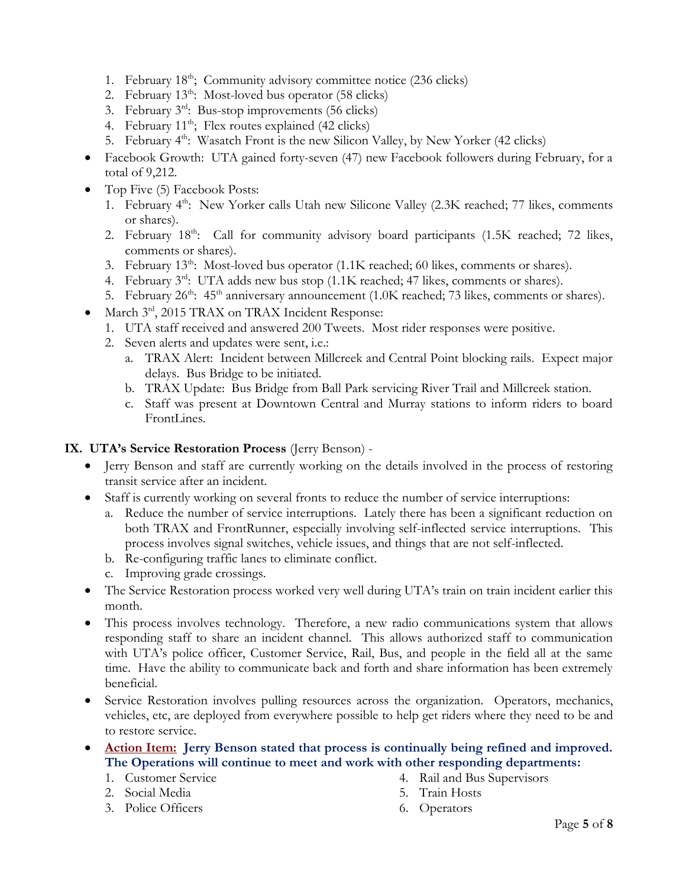- 1. February 18<sup>th</sup>; Community advisory committee notice (236 clicks)
- 2. February  $13^{th}$ : Most-loved bus operator (58 clicks)
- 3. February 3rd: Bus-stop improvements (56 clicks)
- 4. February  $11^{th}$ ; Flex routes explained (42 clicks)
- 5. February  $4<sup>th</sup>$ : Wasatch Front is the new Silicon Valley, by New Yorker (42 clicks)
- Facebook Growth: UTA gained forty-seven (47) new Facebook followers during February, for a total of 9,212.
- Top Five (5) Facebook Posts:
	- 1. February  $4^{\text{th}}$ : New Yorker calls Utah new Silicone Valley (2.3K reached; 77 likes, comments or shares).
	- 2. February  $18<sup>th</sup>$ : Call for community advisory board participants (1.5K reached; 72 likes, comments or shares).
	- 3. February  $13<sup>th</sup>$ : Most-loved bus operator  $(1.1K$  reached; 60 likes, comments or shares).
	- 4. February 3<sup>rd</sup>: UTA adds new bus stop (1.1K reached; 47 likes, comments or shares).
	- 5. February 26<sup>th</sup>: 45<sup>th</sup> anniversary announcement (1.0K reached; 73 likes, comments or shares).
- March 3rd, 2015 TRAX on TRAX Incident Response:
	- 1. UTA staff received and answered 200 Tweets. Most rider responses were positive.
	- 2. Seven alerts and updates were sent, i.e.:
		- a. TRAX Alert: Incident between Millcreek and Central Point blocking rails. Expect major delays. Bus Bridge to be initiated.
		- b. TRAX Update: Bus Bridge from Ball Park servicing River Trail and Millcreek station.
		- c. Staff was present at Downtown Central and Murray stations to inform riders to board FrontLines.

## **IX. UTA's Service Restoration Process** (Jerry Benson) -

- Jerry Benson and staff are currently working on the details involved in the process of restoring transit service after an incident.
- Staff is currently working on several fronts to reduce the number of service interruptions:
	- a. Reduce the number of service interruptions. Lately there has been a significant reduction on both TRAX and FrontRunner, especially involving self-inflected service interruptions. This process involves signal switches, vehicle issues, and things that are not self-inflected.
	- b. Re-configuring traffic lanes to eliminate conflict.
	- c. Improving grade crossings.
- The Service Restoration process worked very well during UTA's train on train incident earlier this month.
- This process involves technology. Therefore, a new radio communications system that allows responding staff to share an incident channel. This allows authorized staff to communication with UTA's police officer, Customer Service, Rail, Bus, and people in the field all at the same time. Have the ability to communicate back and forth and share information has been extremely beneficial.
- Service Restoration involves pulling resources across the organization. Operators, mechanics, vehicles, etc, are deployed from everywhere possible to help get riders where they need to be and to restore service.
- **Action Item: Jerry Benson stated that process is continually being refined and improved. The Operations will continue to meet and work with other responding departments:**
	- 1. Customer Service
	- 2. Social Media
	- 3. Police Officers
- 4. Rail and Bus Supervisors
- 5. Train Hosts
- 6. Operators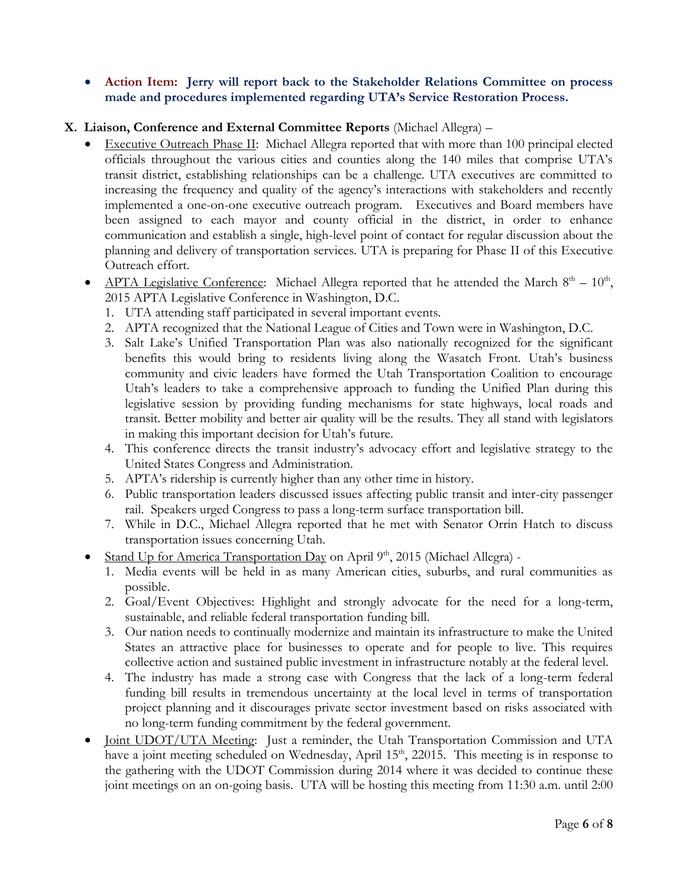**Action Item: Jerry will report back to the Stakeholder Relations Committee on process made and procedures implemented regarding UTA's Service Restoration Process.**

## **X. Liaison, Conference and External Committee Reports** (Michael Allegra) –

- Executive Outreach Phase II: Michael Allegra reported that with more than 100 principal elected officials throughout the various cities and counties along the 140 miles that comprise UTA's transit district, establishing relationships can be a challenge. UTA executives are committed to increasing the frequency and quality of the agency's interactions with stakeholders and recently implemented a one-on-one executive outreach program. Executives and Board members have been assigned to each mayor and county official in the district, in order to enhance communication and establish a single, high-level point of contact for regular discussion about the planning and delivery of transportation services. UTA is preparing for Phase II of this Executive Outreach effort.
- APTA Legislative Conference: Michael Allegra reported that he attended the March  $8<sup>th</sup> 10<sup>th</sup>$ , 2015 APTA Legislative Conference in Washington, D.C.
	- 1. UTA attending staff participated in several important events.
	- 2. APTA recognized that the National League of Cities and Town were in Washington, D.C.
	- 3. Salt Lake's Unified Transportation Plan was also nationally recognized for the significant benefits this would bring to residents living along the Wasatch Front. Utah's business community and civic leaders have formed the Utah Transportation Coalition to encourage Utah's leaders to take a comprehensive approach to funding the Unified Plan during this legislative session by providing funding mechanisms for state highways, local roads and transit. Better mobility and better air quality will be the results. They all stand with legislators in making this important decision for Utah's future.
	- 4. This conference directs the transit industry's advocacy effort and legislative strategy to the United States Congress and Administration.
	- 5. APTA's ridership is currently higher than any other time in history.
	- 6. Public transportation leaders discussed issues affecting public transit and inter-city passenger rail. Speakers urged Congress to pass a long-term surface transportation bill.
	- 7. While in D.C., Michael Allegra reported that he met with Senator Orrin Hatch to discuss transportation issues concerning Utah.
- Stand Up for America Transportation Day on April  $9<sup>th</sup>$ , 2015 (Michael Allegra) -
	- 1. Media events will be held in as many American cities, suburbs, and rural communities as possible.
	- 2. Goal/Event Objectives: Highlight and strongly advocate for the need for a long-term, sustainable, and reliable federal transportation funding bill.
	- 3. Our nation needs to continually modernize and maintain its infrastructure to make the United States an attractive place for businesses to operate and for people to live. This requires collective action and sustained public investment in infrastructure notably at the federal level.
	- 4. The industry has made a strong case with Congress that the lack of a long-term federal funding bill results in tremendous uncertainty at the local level in terms of transportation project planning and it discourages private sector investment based on risks associated with no long-term funding commitment by the federal government.
- Joint UDOT/UTA Meeting: Just a reminder, the Utah Transportation Commission and UTA have a joint meeting scheduled on Wednesday, April 15<sup>th</sup>, 22015. This meeting is in response to the gathering with the UDOT Commission during 2014 where it was decided to continue these joint meetings on an on-going basis. UTA will be hosting this meeting from 11:30 a.m. until 2:00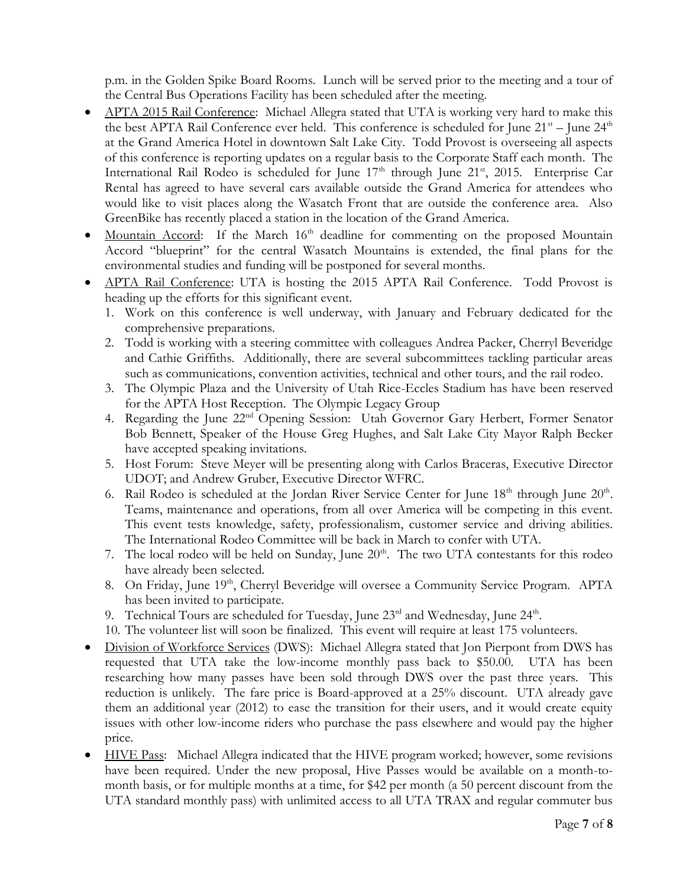p.m. in the Golden Spike Board Rooms. Lunch will be served prior to the meeting and a tour of the Central Bus Operations Facility has been scheduled after the meeting.

- APTA 2015 Rail Conference: Michael Allegra stated that UTA is working very hard to make this the best APTA Rail Conference ever held. This conference is scheduled for June  $21<sup>st</sup> -$  June  $24<sup>th</sup>$ at the Grand America Hotel in downtown Salt Lake City. Todd Provost is overseeing all aspects of this conference is reporting updates on a regular basis to the Corporate Staff each month. The International Rail Rodeo is scheduled for June  $17<sup>th</sup>$  through June  $21<sup>st</sup>$ , 2015. Enterprise Car Rental has agreed to have several cars available outside the Grand America for attendees who would like to visit places along the Wasatch Front that are outside the conference area. Also GreenBike has recently placed a station in the location of the Grand America.
- $\bullet$  Mountain Accord: If the March 16<sup>th</sup> deadline for commenting on the proposed Mountain Accord "blueprint" for the central Wasatch Mountains is extended, the final plans for the environmental studies and funding will be postponed for several months.
- APTA Rail Conference: UTA is hosting the 2015 APTA Rail Conference. Todd Provost is heading up the efforts for this significant event.
	- 1. Work on this conference is well underway, with January and February dedicated for the comprehensive preparations.
	- 2. Todd is working with a steering committee with colleagues Andrea Packer, Cherryl Beveridge and Cathie Griffiths. Additionally, there are several subcommittees tackling particular areas such as communications, convention activities, technical and other tours, and the rail rodeo.
	- 3. The Olympic Plaza and the University of Utah Rice-Eccles Stadium has have been reserved for the APTA Host Reception. The Olympic Legacy Group
	- 4. Regarding the June 22<sup>nd</sup> Opening Session: Utah Governor Gary Herbert, Former Senator Bob Bennett, Speaker of the House Greg Hughes, and Salt Lake City Mayor Ralph Becker have accepted speaking invitations.
	- 5. Host Forum: Steve Meyer will be presenting along with Carlos Braceras, Executive Director UDOT; and Andrew Gruber, Executive Director WFRC.
	- 6. Rail Rodeo is scheduled at the Jordan River Service Center for June  $18<sup>th</sup>$  through June  $20<sup>th</sup>$ . Teams, maintenance and operations, from all over America will be competing in this event. This event tests knowledge, safety, professionalism, customer service and driving abilities. The International Rodeo Committee will be back in March to confer with UTA.
	- 7. The local rodeo will be held on Sunday, June  $20<sup>th</sup>$ . The two UTA contestants for this rodeo have already been selected.
	- 8. On Friday, June 19<sup>th</sup>, Cherryl Beveridge will oversee a Community Service Program. APTA has been invited to participate.
	- 9. Technical Tours are scheduled for Tuesday, June  $23<sup>rd</sup>$  and Wednesday, June  $24<sup>th</sup>$ .
	- 10. The volunteer list will soon be finalized. This event will require at least 175 volunteers.
- Division of Workforce Services (DWS): Michael Allegra stated that Jon Pierpont from DWS has requested that UTA take the low-income monthly pass back to \$50.00. UTA has been researching how many passes have been sold through DWS over the past three years. This reduction is unlikely. The fare price is Board-approved at a 25% discount. UTA already gave them an additional year (2012) to ease the transition for their users, and it would create equity issues with other low-income riders who purchase the pass elsewhere and would pay the higher price.
- HIVE Pass: Michael Allegra indicated that the HIVE program worked; however, some revisions have been required. Under the new proposal, Hive Passes would be available on a month-tomonth basis, or for multiple months at a time, for \$42 per month (a 50 percent discount from the UTA standard monthly pass) with unlimited access to all UTA TRAX and regular commuter bus